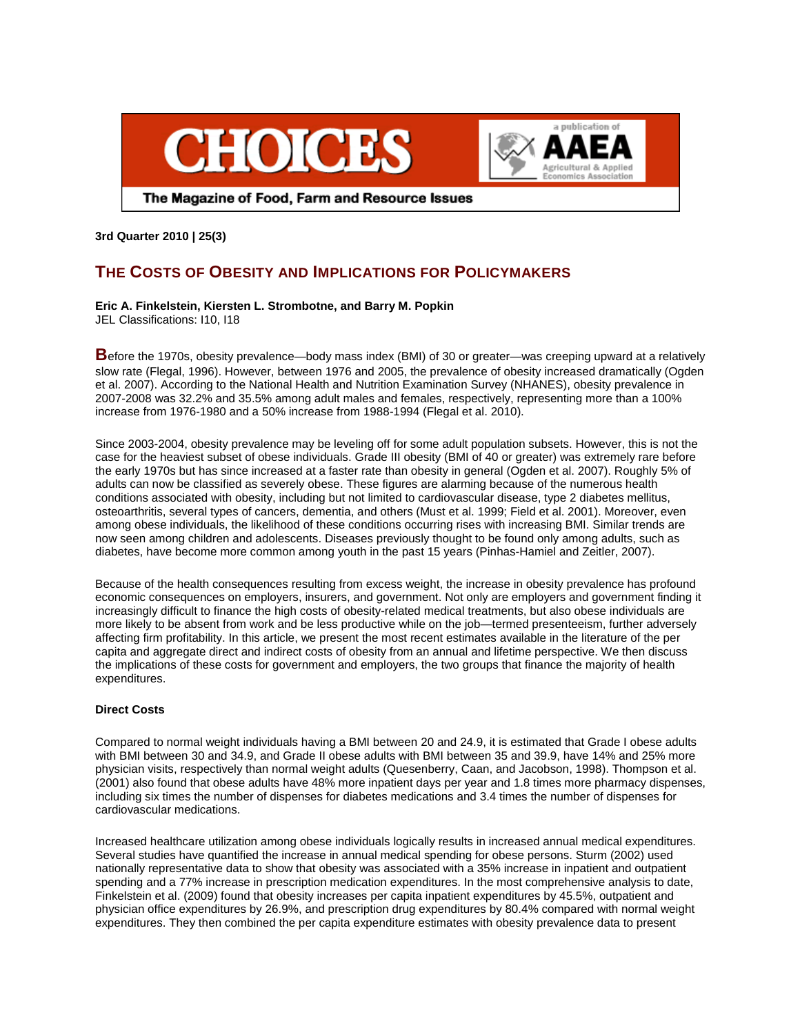



The Magazine of Food, Farm and Resource Issues

**3rd Quarter 2010 | 25(3)** 

# **THE COSTS OF OBESITY AND IMPLICATIONS FOR POLICYMAKERS**

# **Eric A. Finkelstein, Kiersten L. Strombotne, and Barry M. Popkin**

JEL Classifications: I10, I18

**B**efore the 1970s, obesity prevalence—body mass index (BMI) of 30 or greater—was creeping upward at a relatively slow rate (Flegal, 1996). However, between 1976 and 2005, the prevalence of obesity increased dramatically (Ogden et al. 2007). According to the National Health and Nutrition Examination Survey (NHANES), obesity prevalence in 2007-2008 was 32.2% and 35.5% among adult males and females, respectively, representing more than a 100% increase from 1976-1980 and a 50% increase from 1988-1994 (Flegal et al. 2010).

Since 2003-2004, obesity prevalence may be leveling off for some adult population subsets. However, this is not the case for the heaviest subset of obese individuals. Grade III obesity (BMI of 40 or greater) was extremely rare before the early 1970s but has since increased at a faster rate than obesity in general (Ogden et al. 2007). Roughly 5% of adults can now be classified as severely obese. These figures are alarming because of the numerous health conditions associated with obesity, including but not limited to cardiovascular disease, type 2 diabetes mellitus, osteoarthritis, several types of cancers, dementia, and others (Must et al. 1999; Field et al. 2001). Moreover, even among obese individuals, the likelihood of these conditions occurring rises with increasing BMI. Similar trends are now seen among children and adolescents. Diseases previously thought to be found only among adults, such as diabetes, have become more common among youth in the past 15 years (Pinhas-Hamiel and Zeitler, 2007).

Because of the health consequences resulting from excess weight, the increase in obesity prevalence has profound economic consequences on employers, insurers, and government. Not only are employers and government finding it increasingly difficult to finance the high costs of obesity-related medical treatments, but also obese individuals are more likely to be absent from work and be less productive while on the job—termed presenteeism, further adversely affecting firm profitability. In this article, we present the most recent estimates available in the literature of the per capita and aggregate direct and indirect costs of obesity from an annual and lifetime perspective. We then discuss the implications of these costs for government and employers, the two groups that finance the majority of health expenditures.

## **Direct Costs**

Compared to normal weight individuals having a BMI between 20 and 24.9, it is estimated that Grade I obese adults with BMI between 30 and 34.9, and Grade II obese adults with BMI between 35 and 39.9, have 14% and 25% more physician visits, respectively than normal weight adults (Quesenberry, Caan, and Jacobson, 1998). Thompson et al. (2001) also found that obese adults have 48% more inpatient days per year and 1.8 times more pharmacy dispenses, including six times the number of dispenses for diabetes medications and 3.4 times the number of dispenses for cardiovascular medications.

Increased healthcare utilization among obese individuals logically results in increased annual medical expenditures. Several studies have quantified the increase in annual medical spending for obese persons. Sturm (2002) used nationally representative data to show that obesity was associated with a 35% increase in inpatient and outpatient spending and a 77% increase in prescription medication expenditures. In the most comprehensive analysis to date, Finkelstein et al. (2009) found that obesity increases per capita inpatient expenditures by 45.5%, outpatient and physician office expenditures by 26.9%, and prescription drug expenditures by 80.4% compared with normal weight expenditures. They then combined the per capita expenditure estimates with obesity prevalence data to present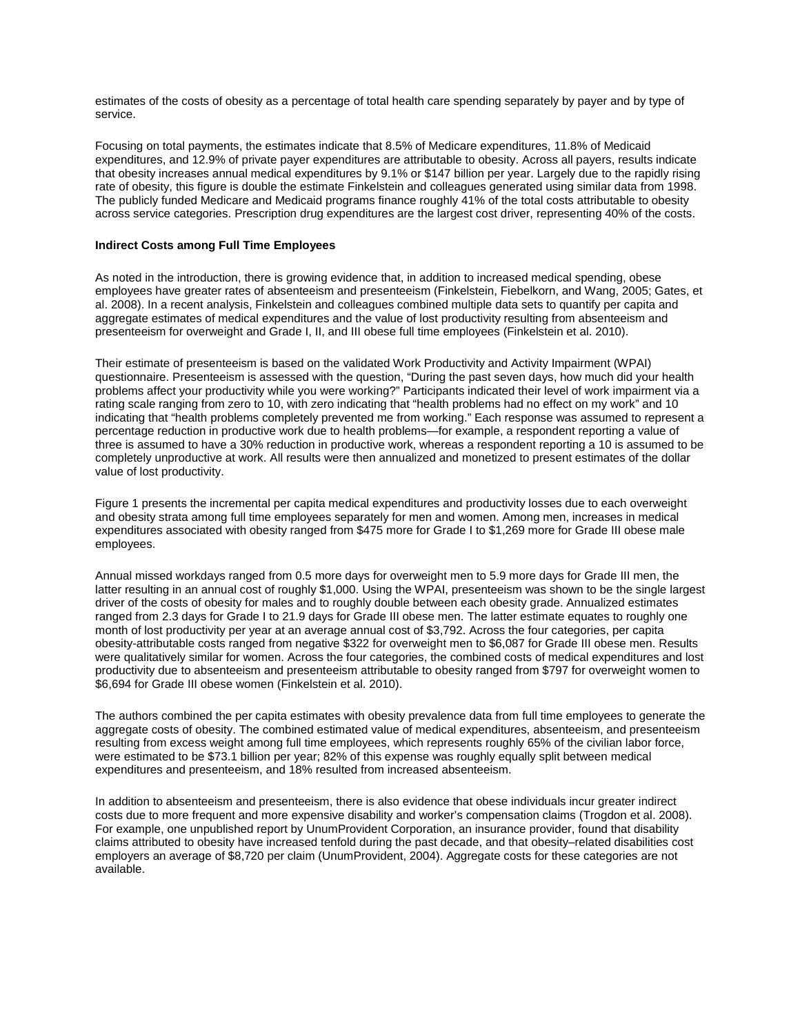estimates of the costs of obesity as a percentage of total health care spending separately by payer and by type of service.

Focusing on total payments, the estimates indicate that 8.5% of Medicare expenditures, 11.8% of Medicaid expenditures, and 12.9% of private payer expenditures are attributable to obesity. Across all payers, results indicate that obesity increases annual medical expenditures by 9.1% or \$147 billion per year. Largely due to the rapidly rising rate of obesity, this figure is double the estimate Finkelstein and colleagues generated using similar data from 1998. The publicly funded Medicare and Medicaid programs finance roughly 41% of the total costs attributable to obesity across service categories. Prescription drug expenditures are the largest cost driver, representing 40% of the costs.

## **Indirect Costs among Full Time Employees**

As noted in the introduction, there is growing evidence that, in addition to increased medical spending, obese employees have greater rates of absenteeism and presenteeism (Finkelstein, Fiebelkorn, and Wang, 2005; Gates, et al. 2008). In a recent analysis, Finkelstein and colleagues combined multiple data sets to quantify per capita and aggregate estimates of medical expenditures and the value of lost productivity resulting from absenteeism and presenteeism for overweight and Grade I, II, and III obese full time employees (Finkelstein et al. 2010).

Their estimate of presenteeism is based on the validated Work Productivity and Activity Impairment (WPAI) questionnaire. Presenteeism is assessed with the question, "During the past seven days, how much did your health problems affect your productivity while you were working?" Participants indicated their level of work impairment via a rating scale ranging from zero to 10, with zero indicating that "health problems had no effect on my work" and 10 indicating that "health problems completely prevented me from working." Each response was assumed to represent a percentage reduction in productive work due to health problems—for example, a respondent reporting a value of three is assumed to have a 30% reduction in productive work, whereas a respondent reporting a 10 is assumed to be completely unproductive at work. All results were then annualized and monetized to present estimates of the dollar value of lost productivity.

Figure 1 presents the incremental per capita medical expenditures and productivity losses due to each overweight and obesity strata among full time employees separately for men and women. Among men, increases in medical expenditures associated with obesity ranged from \$475 more for Grade I to \$1,269 more for Grade III obese male employees.

Annual missed workdays ranged from 0.5 more days for overweight men to 5.9 more days for Grade III men, the latter resulting in an annual cost of roughly \$1,000. Using the WPAI, presenteeism was shown to be the single largest driver of the costs of obesity for males and to roughly double between each obesity grade. Annualized estimates ranged from 2.3 days for Grade I to 21.9 days for Grade III obese men. The latter estimate equates to roughly one month of lost productivity per year at an average annual cost of \$3,792. Across the four categories, per capita obesity-attributable costs ranged from negative \$322 for overweight men to \$6,087 for Grade III obese men. Results were qualitatively similar for women. Across the four categories, the combined costs of medical expenditures and lost productivity due to absenteeism and presenteeism attributable to obesity ranged from \$797 for overweight women to \$6,694 for Grade III obese women (Finkelstein et al. 2010).

The authors combined the per capita estimates with obesity prevalence data from full time employees to generate the aggregate costs of obesity. The combined estimated value of medical expenditures, absenteeism, and presenteeism resulting from excess weight among full time employees, which represents roughly 65% of the civilian labor force, were estimated to be \$73.1 billion per year; 82% of this expense was roughly equally split between medical expenditures and presenteeism, and 18% resulted from increased absenteeism.

In addition to absenteeism and presenteeism, there is also evidence that obese individuals incur greater indirect costs due to more frequent and more expensive disability and worker's compensation claims (Trogdon et al. 2008). For example, one unpublished report by UnumProvident Corporation, an insurance provider, found that disability claims attributed to obesity have increased tenfold during the past decade, and that obesity–related disabilities cost employers an average of \$8,720 per claim (UnumProvident, 2004). Aggregate costs for these categories are not available.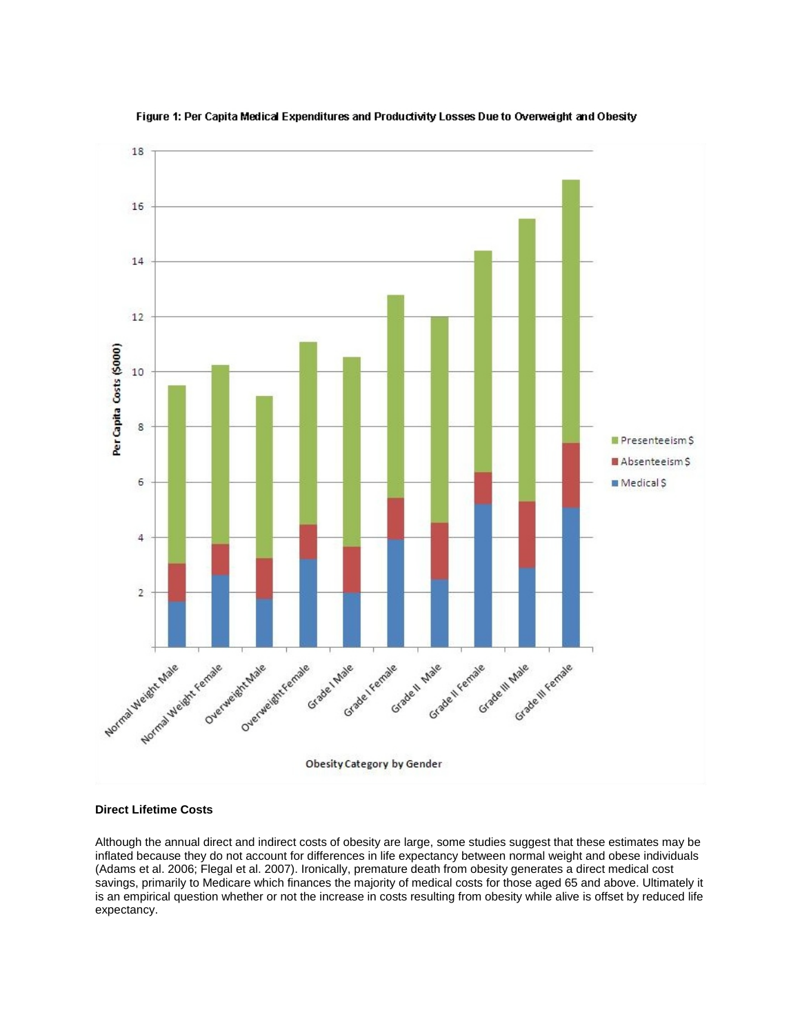

## Figure 1: Per Capita Medical Expenditures and Productivity Losses Due to Overweight and Obesity

### **Direct Lifetime Costs**

Although the annual direct and indirect costs of obesity are large, some studies suggest that these estimates may be inflated because they do not account for differences in life expectancy between normal weight and obese individuals (Adams et al. 2006; Flegal et al. 2007). Ironically, premature death from obesity generates a direct medical cost savings, primarily to Medicare which finances the majority of medical costs for those aged 65 and above. Ultimately it is an empirical question whether or not the increase in costs resulting from obesity while alive is offset by reduced life expectancy.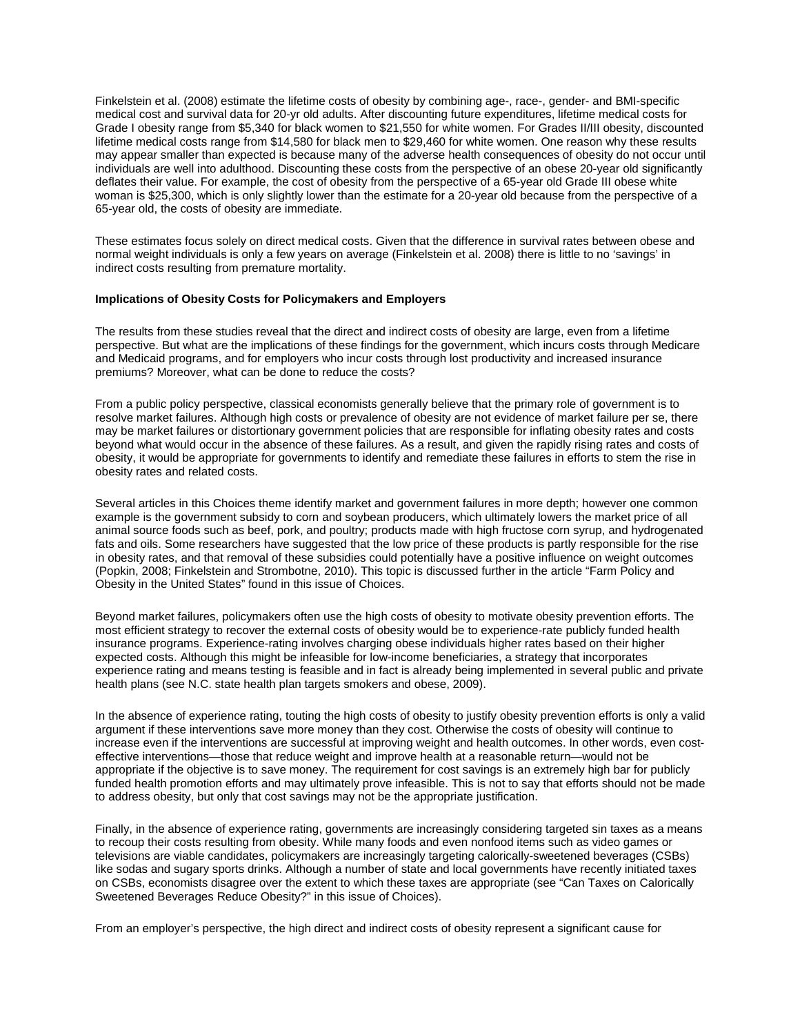Finkelstein et al. (2008) estimate the lifetime costs of obesity by combining age-, race-, gender- and BMI-specific medical cost and survival data for 20-yr old adults. After discounting future expenditures, lifetime medical costs for Grade I obesity range from \$5,340 for black women to \$21,550 for white women. For Grades II/III obesity, discounted lifetime medical costs range from \$14,580 for black men to \$29,460 for white women. One reason why these results may appear smaller than expected is because many of the adverse health consequences of obesity do not occur until individuals are well into adulthood. Discounting these costs from the perspective of an obese 20-year old significantly deflates their value. For example, the cost of obesity from the perspective of a 65-year old Grade III obese white woman is \$25,300, which is only slightly lower than the estimate for a 20-year old because from the perspective of a 65-year old, the costs of obesity are immediate.

These estimates focus solely on direct medical costs. Given that the difference in survival rates between obese and normal weight individuals is only a few years on average (Finkelstein et al. 2008) there is little to no 'savings' in indirect costs resulting from premature mortality.

## **Implications of Obesity Costs for Policymakers and Employers**

The results from these studies reveal that the direct and indirect costs of obesity are large, even from a lifetime perspective. But what are the implications of these findings for the government, which incurs costs through Medicare and Medicaid programs, and for employers who incur costs through lost productivity and increased insurance premiums? Moreover, what can be done to reduce the costs?

From a public policy perspective, classical economists generally believe that the primary role of government is to resolve market failures. Although high costs or prevalence of obesity are not evidence of market failure per se, there may be market failures or distortionary government policies that are responsible for inflating obesity rates and costs beyond what would occur in the absence of these failures. As a result, and given the rapidly rising rates and costs of obesity, it would be appropriate for governments to identify and remediate these failures in efforts to stem the rise in obesity rates and related costs.

Several articles in this Choices theme identify market and government failures in more depth; however one common example is the government subsidy to corn and soybean producers, which ultimately lowers the market price of all animal source foods such as beef, pork, and poultry; products made with high fructose corn syrup, and hydrogenated fats and oils. Some researchers have suggested that the low price of these products is partly responsible for the rise in obesity rates, and that removal of these subsidies could potentially have a positive influence on weight outcomes (Popkin, 2008; Finkelstein and Strombotne, 2010). This topic is discussed further in the article "Farm Policy and Obesity in the United States" found in this issue of Choices.

Beyond market failures, policymakers often use the high costs of obesity to motivate obesity prevention efforts. The most efficient strategy to recover the external costs of obesity would be to experience-rate publicly funded health insurance programs. Experience-rating involves charging obese individuals higher rates based on their higher expected costs. Although this might be infeasible for low-income beneficiaries, a strategy that incorporates experience rating and means testing is feasible and in fact is already being implemented in several public and private health plans (see N.C. state health plan targets smokers and obese, 2009).

In the absence of experience rating, touting the high costs of obesity to justify obesity prevention efforts is only a valid argument if these interventions save more money than they cost. Otherwise the costs of obesity will continue to increase even if the interventions are successful at improving weight and health outcomes. In other words, even costeffective interventions—those that reduce weight and improve health at a reasonable return—would not be appropriate if the objective is to save money. The requirement for cost savings is an extremely high bar for publicly funded health promotion efforts and may ultimately prove infeasible. This is not to say that efforts should not be made to address obesity, but only that cost savings may not be the appropriate justification.

Finally, in the absence of experience rating, governments are increasingly considering targeted sin taxes as a means to recoup their costs resulting from obesity. While many foods and even nonfood items such as video games or televisions are viable candidates, policymakers are increasingly targeting calorically-sweetened beverages (CSBs) like sodas and sugary sports drinks. Although a number of state and local governments have recently initiated taxes on CSBs, economists disagree over the extent to which these taxes are appropriate (see "Can Taxes on Calorically Sweetened Beverages Reduce Obesity?" in this issue of Choices).

From an employer's perspective, the high direct and indirect costs of obesity represent a significant cause for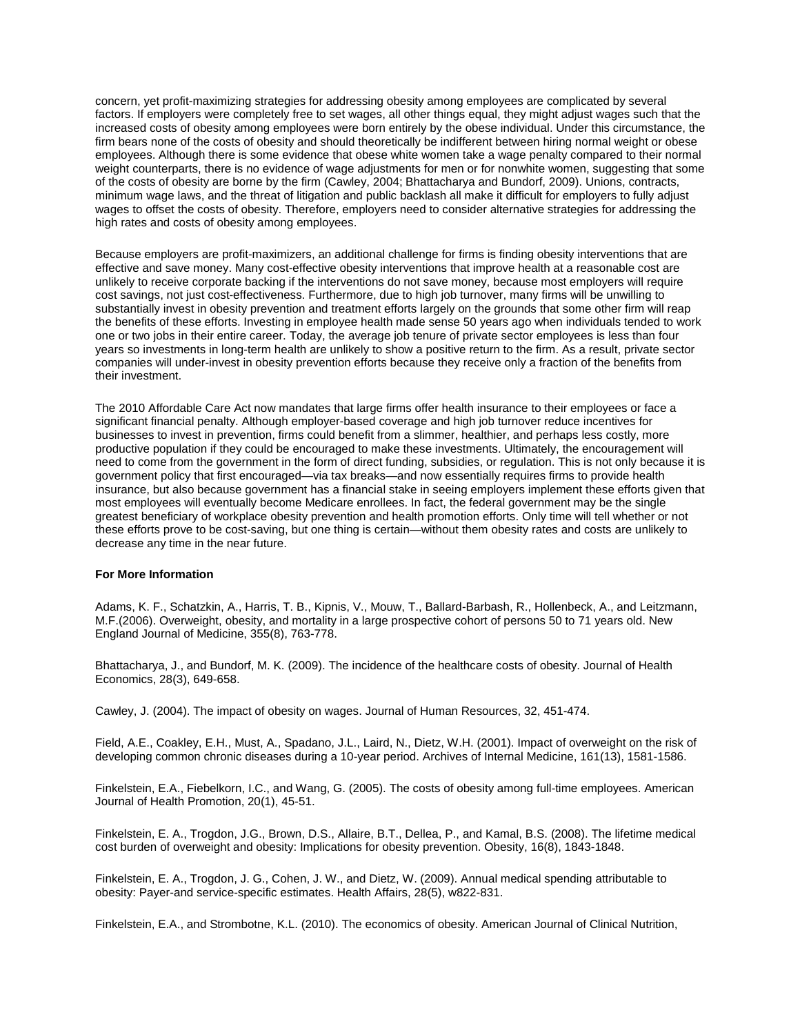concern, yet profit-maximizing strategies for addressing obesity among employees are complicated by several factors. If employers were completely free to set wages, all other things equal, they might adjust wages such that the increased costs of obesity among employees were born entirely by the obese individual. Under this circumstance, the firm bears none of the costs of obesity and should theoretically be indifferent between hiring normal weight or obese employees. Although there is some evidence that obese white women take a wage penalty compared to their normal weight counterparts, there is no evidence of wage adjustments for men or for nonwhite women, suggesting that some of the costs of obesity are borne by the firm (Cawley, 2004; Bhattacharya and Bundorf, 2009). Unions, contracts, minimum wage laws, and the threat of litigation and public backlash all make it difficult for employers to fully adjust wages to offset the costs of obesity. Therefore, employers need to consider alternative strategies for addressing the high rates and costs of obesity among employees.

Because employers are profit-maximizers, an additional challenge for firms is finding obesity interventions that are effective and save money. Many cost-effective obesity interventions that improve health at a reasonable cost are unlikely to receive corporate backing if the interventions do not save money, because most employers will require cost savings, not just cost-effectiveness. Furthermore, due to high job turnover, many firms will be unwilling to substantially invest in obesity prevention and treatment efforts largely on the grounds that some other firm will reap the benefits of these efforts. Investing in employee health made sense 50 years ago when individuals tended to work one or two jobs in their entire career. Today, the average job tenure of private sector employees is less than four years so investments in long-term health are unlikely to show a positive return to the firm. As a result, private sector companies will under-invest in obesity prevention efforts because they receive only a fraction of the benefits from their investment.

The 2010 Affordable Care Act now mandates that large firms offer health insurance to their employees or face a significant financial penalty. Although employer-based coverage and high job turnover reduce incentives for businesses to invest in prevention, firms could benefit from a slimmer, healthier, and perhaps less costly, more productive population if they could be encouraged to make these investments. Ultimately, the encouragement will need to come from the government in the form of direct funding, subsidies, or regulation. This is not only because it is government policy that first encouraged—via tax breaks—and now essentially requires firms to provide health insurance, but also because government has a financial stake in seeing employers implement these efforts given that most employees will eventually become Medicare enrollees. In fact, the federal government may be the single greatest beneficiary of workplace obesity prevention and health promotion efforts. Only time will tell whether or not these efforts prove to be cost-saving, but one thing is certain—without them obesity rates and costs are unlikely to decrease any time in the near future.

### **For More Information**

Adams, K. F., Schatzkin, A., Harris, T. B., Kipnis, V., Mouw, T., Ballard-Barbash, R., Hollenbeck, A., and Leitzmann, M.F.(2006). Overweight, obesity, and mortality in a large prospective cohort of persons 50 to 71 years old. New England Journal of Medicine, 355(8), 763-778.

Bhattacharya, J., and Bundorf, M. K. (2009). The incidence of the healthcare costs of obesity. Journal of Health Economics, 28(3), 649-658.

Cawley, J. (2004). The impact of obesity on wages. Journal of Human Resources, 32, 451-474.

Field, A.E., Coakley, E.H., Must, A., Spadano, J.L., Laird, N., Dietz, W.H. (2001). Impact of overweight on the risk of developing common chronic diseases during a 10-year period. Archives of Internal Medicine, 161(13), 1581-1586.

Finkelstein, E.A., Fiebelkorn, I.C., and Wang, G. (2005). The costs of obesity among full-time employees. American Journal of Health Promotion, 20(1), 45-51.

Finkelstein, E. A., Trogdon, J.G., Brown, D.S., Allaire, B.T., Dellea, P., and Kamal, B.S. (2008). The lifetime medical cost burden of overweight and obesity: Implications for obesity prevention. Obesity, 16(8), 1843-1848.

Finkelstein, E. A., Trogdon, J. G., Cohen, J. W., and Dietz, W. (2009). Annual medical spending attributable to obesity: Payer-and service-specific estimates. Health Affairs, 28(5), w822-831.

Finkelstein, E.A., and Strombotne, K.L. (2010). The economics of obesity. American Journal of Clinical Nutrition,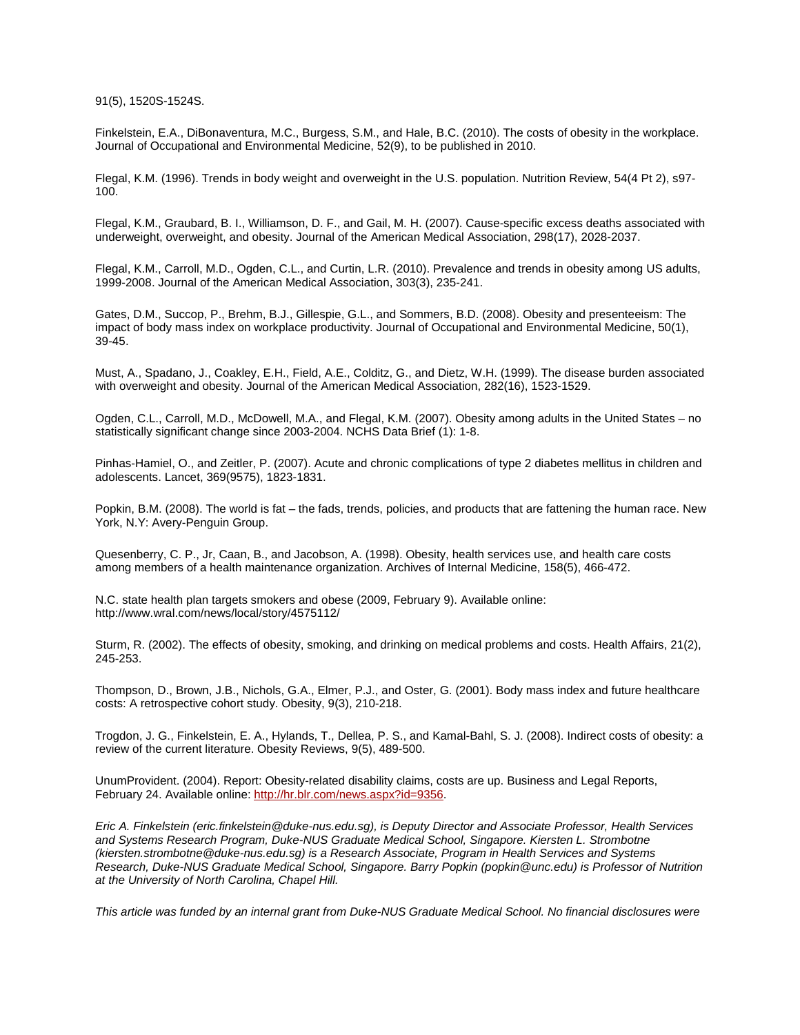91(5), 1520S-1524S.

Finkelstein, E.A., DiBonaventura, M.C., Burgess, S.M., and Hale, B.C. (2010). The costs of obesity in the workplace. Journal of Occupational and Environmental Medicine, 52(9), to be published in 2010.

Flegal, K.M. (1996). Trends in body weight and overweight in the U.S. population. Nutrition Review, 54(4 Pt 2), s97- 100.

Flegal, K.M., Graubard, B. I., Williamson, D. F., and Gail, M. H. (2007). Cause-specific excess deaths associated with underweight, overweight, and obesity. Journal of the American Medical Association, 298(17), 2028-2037.

Flegal, K.M., Carroll, M.D., Ogden, C.L., and Curtin, L.R. (2010). Prevalence and trends in obesity among US adults, 1999-2008. Journal of the American Medical Association, 303(3), 235-241.

Gates, D.M., Succop, P., Brehm, B.J., Gillespie, G.L., and Sommers, B.D. (2008). Obesity and presenteeism: The impact of body mass index on workplace productivity. Journal of Occupational and Environmental Medicine, 50(1), 39-45.

Must, A., Spadano, J., Coakley, E.H., Field, A.E., Colditz, G., and Dietz, W.H. (1999). The disease burden associated with overweight and obesity. Journal of the American Medical Association, 282(16), 1523-1529.

Ogden, C.L., Carroll, M.D., McDowell, M.A., and Flegal, K.M. (2007). Obesity among adults in the United States – no statistically significant change since 2003-2004. NCHS Data Brief (1): 1-8.

Pinhas-Hamiel, O., and Zeitler, P. (2007). Acute and chronic complications of type 2 diabetes mellitus in children and adolescents. Lancet, 369(9575), 1823-1831.

Popkin, B.M. (2008). The world is fat – the fads, trends, policies, and products that are fattening the human race. New York, N.Y: Avery-Penguin Group.

Quesenberry, C. P., Jr, Caan, B., and Jacobson, A. (1998). Obesity, health services use, and health care costs among members of a health maintenance organization. Archives of Internal Medicine, 158(5), 466-472.

N.C. state health plan targets smokers and obese (2009, February 9). Available online: http://www.wral.com/news/local/story/4575112/

Sturm, R. (2002). The effects of obesity, smoking, and drinking on medical problems and costs. Health Affairs, 21(2), 245-253.

Thompson, D., Brown, J.B., Nichols, G.A., Elmer, P.J., and Oster, G. (2001). Body mass index and future healthcare costs: A retrospective cohort study. Obesity, 9(3), 210-218.

Trogdon, J. G., Finkelstein, E. A., Hylands, T., Dellea, P. S., and Kamal-Bahl, S. J. (2008). Indirect costs of obesity: a review of the current literature. Obesity Reviews, 9(5), 489-500.

UnumProvident. (2004). Report: Obesity-related disability claims, costs are up. Business and Legal Reports, February 24. Available online[: http://hr.blr.com/news.aspx?id=9356.](http://hr.blr.com/news.aspx?id=9356)

*Eric A. Finkelstein (eric.finkelstein@duke-nus.edu.sg), is Deputy Director and Associate Professor, Health Services and Systems Research Program, Duke-NUS Graduate Medical School, Singapore. Kiersten L. Strombotne (kiersten.strombotne@duke-nus.edu.sg) is a Research Associate, Program in Health Services and Systems Research, Duke-NUS Graduate Medical School, Singapore. Barry Popkin (popkin@unc.edu) is Professor of Nutrition at the University of North Carolina, Chapel Hill.*

*This article was funded by an internal grant from Duke-NUS Graduate Medical School. No financial disclosures were*